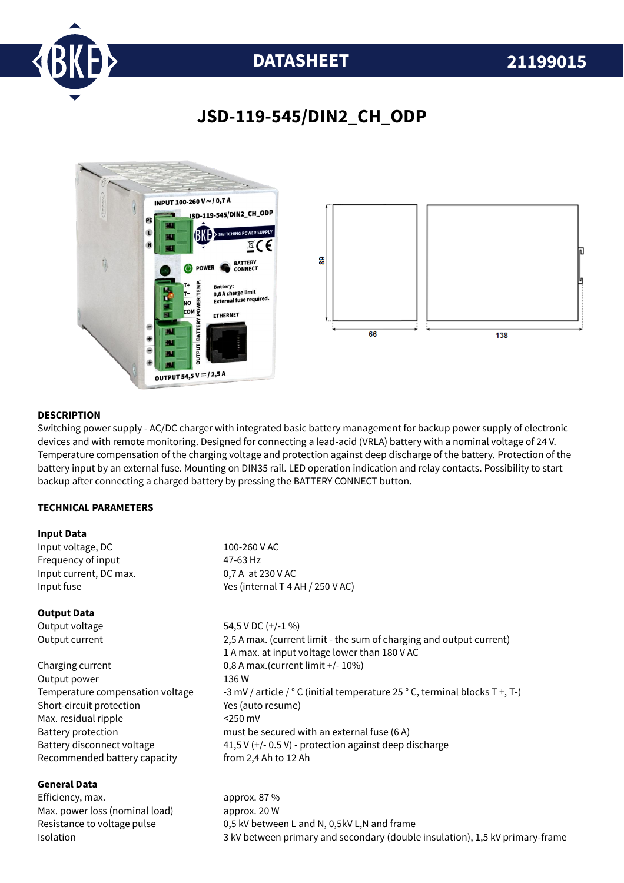

# **DATASHEET 21199015**

# **JSD-119-545/DIN2\_CH\_ODP**



### **DESCRIPTION**

Switching power supply - AC/DC charger with integrated basic battery management for backup power supply of electronic devices and with remote monitoring. Designed for connecting a lead-acid (VRLA) battery with a nominal voltage of 24 V. Temperature compensation of the charging voltage and protection against deep discharge of the battery. Protection of the battery input by an external fuse. Mounting on DIN35 rail. LED operation indication and relay contacts. Possibility to start backup after connecting a charged battery by pressing the BATTERY CONNECT button.

### **TECHNICAL PARAMETERS**

### **Input Data**

**General Data**

| Input voltage, DC                | 100-260 V AC                                                                |
|----------------------------------|-----------------------------------------------------------------------------|
| Frequency of input               | 47-63 Hz                                                                    |
| Input current, DC max.           | 0,7 A at 230 V AC                                                           |
| Input fuse                       | Yes (internal T 4 AH / 250 V AC)                                            |
| <b>Output Data</b>               |                                                                             |
| Output voltage                   | 54,5 V DC $(+/-1\%)$                                                        |
| Output current                   | 2,5 A max. (current limit - the sum of charging and output current)         |
|                                  | 1 A max. at input voltage lower than 180 V AC                               |
| Charging current                 | 0,8 A max.(current limit +/- 10%)                                           |
| Output power                     | 136 W                                                                       |
| Temperature compensation voltage | -3 mV / article / ° C (initial temperature 25 ° C, terminal blocks T +, T-) |
| Short-circuit protection         | Yes (auto resume)                                                           |
| Max. residual ripple             | $<$ 250 mV                                                                  |
| Battery protection               | must be secured with an external fuse (6 A)                                 |
| Battery disconnect voltage       | 41,5 V (+/- 0.5 V) - protection against deep discharge                      |
| Recommended battery capacity     | from 2,4 Ah to 12 Ah                                                        |
|                                  |                                                                             |

Efficiency, max. approx. 87 % Max. power loss (nominal load) approx. 20 W Resistance to voltage pulse 0,5 kV between L and N, 0,5kV L,N and frame Isolation 3 kV between primary and secondary (double insulation), 1,5 kV primary-frame